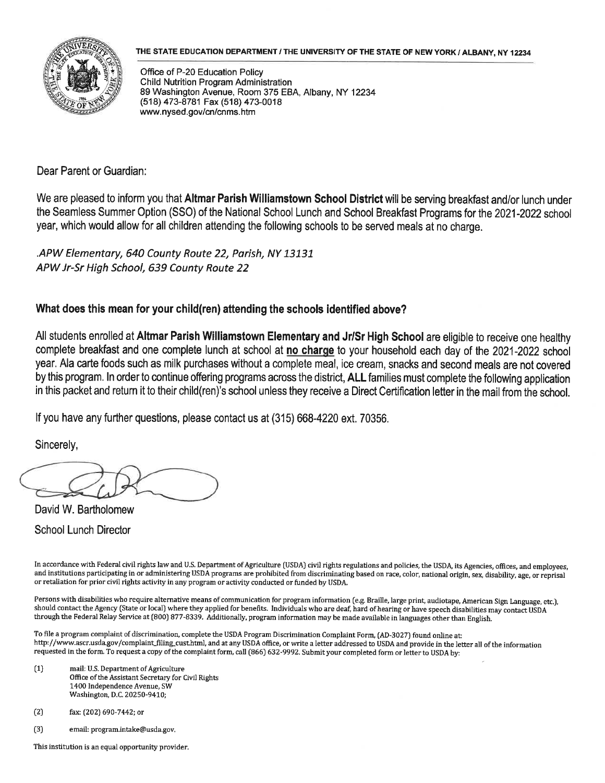

## THE STATE EDUCATION DEPARTMENT / THE UNIVERSITY OF THE STATE OF NEW YORK / ALBANY. NY 12234

Office of P-20 Education Policy Child Nutrition Program Administration 89 Washington Avenue, Room 375 EBA, Albany, NY 12234 (518)473-8781 Fax (518) 473-0018 www. nysed. gov/cn/cnms. htm

Dear Parent or Guardian:

We are pleased to inform you that Altmar Parish Williamstown School District will be serving breakfast and/or lunch under the Seamless Summer Option (SSO) of the National School Lunch and School Breakfast Programs for the 2021-2022 school year, which would allow for all children attending the following schools to be served meals at no charge.

.APW Elementary, 640 County Route 22, Parish, NY 13131 APWJr-Sr High School, 639 County Route 22

## What does this mean for your child(ren) attending the schools identified above?

All students enrolled at Altmar Parish Williamstown Elementary and Jr/Sr High School are eligible to receive one healthy complete breakfast and one complete lunch at school at no charge to your household each day of the 2021-2022 school year. Ala carte foods such as milk purchases without a complete meal, ice cream, snacks and second meals are not covered by this program. In order to continue offering programs across the district, ALL families must complete the following application in this packet and return it to their child(ren)'s school unless they receive a Direct Certification letter in the mail from the school.

If you have any further questions, please contact us at (315) 668-4220 ext. 70356.

Sincerely,

David W. Bartholomew School Lunch Director

In accordance with Federal civil rights law and U.S Department of Agriculture (USDA) civil rights regulations and policies, the USDA, its Agencies, offices, and employees, and institutions participating in or administering USDA programs are prohibited from discriminating based on race, color, national origin, sex, disability, age, or reprisal or retaliation for prior civil rights activity in any program or activity conducted or funded by USDA.

Persons with disabilities who require alternative means of communication for program information (e.g. Braille, large print, audiotape, American Sign Language, etc.), should contact the Agency (State or local) where they applied for benefits. Individuals who are deaf, hard of hearing or have speech disabilities may'contact USDA through the Federal Relay Service at [800] 877-8339. Additionally, program information may be made available in languages other than English.

To file a program complaint of discrimination, complete the USDA Program Discrimination Complaint Form, CAD-3027) found online at: http://www.ascr.usda.gov/complaint\_filing\_cusLhtml, and at any USDA office, or write a letter addressed to USDA and provide in the letter all of the information requested in the form. To request a copy of the complaint form, call (866) 632-9992. Submit your completed form or letter to USDA by:

- (1} mail: U.S. Department of Agriculture Office of the Assistant Secretary for Civil Rights 1400 Independence Avenue, SW Washington, D.C. 20250-9410;
- (2) fax: (202) 690-7442; or
- (3) email: program.intake@usda.gov.

This institution is an equal opportunity provider.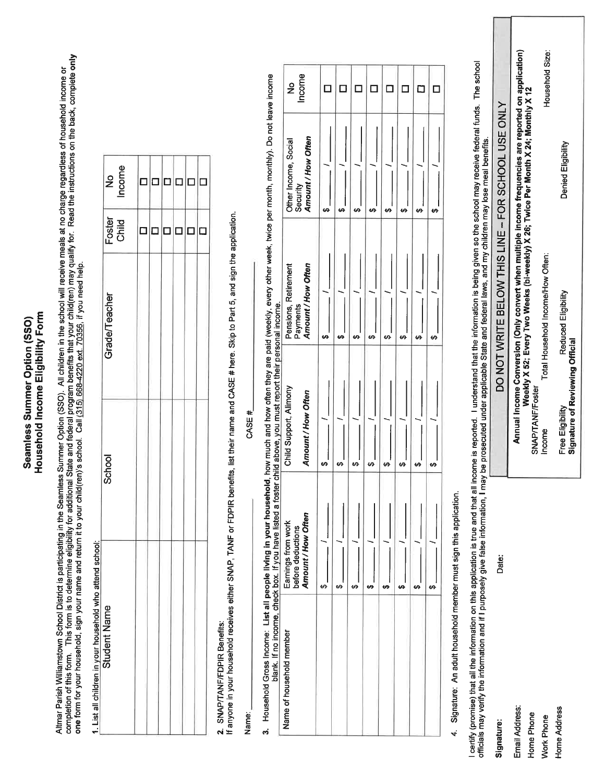## Household Income Eligibility Form Seamless Summer Option (SSO)

Altmar Parish Williamstown School District is participating in the Seamless Summer Option (SSO). All children in the school will receive meals at no charge regardless of household income or<br>completion of this form. This fo

1. List all children in vour household who attend school:

| No<br>Income    | П      | п      | п      | П | Γ      |        |
|-----------------|--------|--------|--------|---|--------|--------|
| Foster<br>Child | $\Box$ | $\Box$ | $\Box$ | ⊐ | $\Box$ | $\Box$ |
| Grade/Teacher   |        |        |        |   |        |        |
| School          |        |        |        |   |        |        |
| Student Name    |        |        |        |   |        |        |

2. SNAP/TANF/FDPIR Benefits:<br>If anyone in your household receives either SNAP, TANF or FDPIR benefits, list their name and CASE # here. Skip to Part 5, and sign the application.

Name:

CASE #

3. Household Gross Income: List all people living in your household, how much and how often they are paid (weekly, every other week, twice per month, monthly). Do not leave income

|                          | blank. If no income, check box. If you have listed a          | foster child above, you must report their personal income. |                                                        |                                                        |                         |
|--------------------------|---------------------------------------------------------------|------------------------------------------------------------|--------------------------------------------------------|--------------------------------------------------------|-------------------------|
| Name of household member | Amount / How Often<br>Earnings from work<br>before deductions | Child Support, Alimony<br>Amount / How Often               | Amount / How Often<br>Pensions, Retirement<br>Payments | Amount / How Often<br>Other Income, Social<br>Security | Income<br>$\frac{1}{2}$ |
|                          |                                                               | 6Ĥ                                                         | မာ                                                     | မာ                                                     |                         |
|                          |                                                               | မာ                                                         | 69                                                     | မာ                                                     |                         |
|                          |                                                               | မာ                                                         | 69                                                     | မာ                                                     |                         |
|                          |                                                               | မာ                                                         |                                                        | ഗ                                                      |                         |
|                          |                                                               | မာ                                                         |                                                        | မာ                                                     |                         |
|                          |                                                               | 69                                                         |                                                        | မာ                                                     |                         |
|                          |                                                               |                                                            | မာ                                                     | မာ                                                     |                         |
|                          |                                                               | မာ                                                         | မာ                                                     |                                                        |                         |

4. Signature: An adult household member must sign this application.

l certify (promise) that all the information on this application is true and that all incomed. I understand that the information is being given so the school may receive federal funds. The school<br>officials may verify the i

|                                                    |                                                                                                      |                                                                                   | Household Size:                   |                                                     |
|----------------------------------------------------|------------------------------------------------------------------------------------------------------|-----------------------------------------------------------------------------------|-----------------------------------|-----------------------------------------------------|
|                                                    |                                                                                                      |                                                                                   |                                   | Denied Eligibility                                  |
| DO NOT WRITE BELOW THIS LINE - FOR SCHOOL USE ONLY | Annual Income Conversion (Only convert when multiple income frequencies are reported on application) | Weekly X 52; Every Two Weeks (bi-weekly) X 26; Twice Per Month X 24; Monthly X 12 | Total Household Income/How Often: | Reduced Eligibility                                 |
|                                                    |                                                                                                      | SNAP/TANF/Foster                                                                  | ncome                             | Signature of Reviewing Official<br>Free Eligibility |
| )ate:                                              |                                                                                                      |                                                                                   |                                   |                                                     |
|                                                    | mail Address                                                                                         | <b>Iome Phone</b>                                                                 | <b>Vork Phone</b>                 | <b>Home Address</b>                                 |